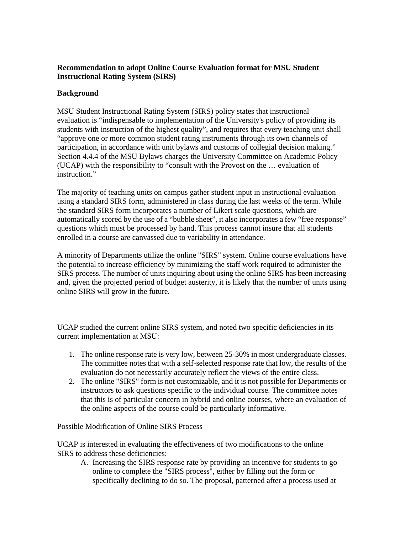# **Recommendation to adopt Online Course Evaluation format for MSU Student Instructional Rating System (SIRS)**

### **Background**

MSU Student Instructional Rating System (SIRS) policy states that instructional evaluation is "indispensable to implementation of the University's policy of providing its students with instruction of the highest quality", and requires that every teaching unit shall "approve one or more common student rating instruments through its own channels of participation, in accordance with unit bylaws and customs of collegial decision making." Section 4.4.4 of the MSU Bylaws charges the University Committee on Academic Policy (UCAP) with the responsibility to "consult with the Provost on the … evaluation of instruction."

The majority of teaching units on campus gather student input in instructional evaluation using a standard SIRS form, administered in class during the last weeks of the term. While the standard SIRS form incorporates a number of Likert scale questions, which are automatically scored by the use of a "bubble sheet", it also incorporates a few "free res ponse" questions which must be processed by hand. This process cannot insure that all students enrolled in a course are canvassed due to variability in attendance.

A minority of Departments utilize the online "SIRS" system. Online course evaluations have the potential to increase efficiency by minimizing the staff work required to administer the SIRS process. The number of units inquiring about using the online SIRS has been increasing and, given the projected period of budget austerity, it is likely that the number of units using online SIRS will grow in the future.

UCAP studied the current online SIRS system, and noted two specific deficiencies in its current implementation at MSU:

- 1. The online response rate is very low, between 25-30% in most undergraduate classes. The committee notes that with a self-selected response rate that low, the results of the evaluation do not necessarily accurately reflect the views of the entire class.
- 2. The online "SIRS" form is not customizable, and it is not possible for Departments or instructors to ask questions specific to the individual course. The committee notes that this is of particular concern in hybrid and online courses, where an evaluation of the online aspects of the course could be particularly informative.

Possible Modification of Online SIRS Process

UCAP is interested in evaluating the effectiveness of two modifications to the online SIRS to address these deficiencies:

A. Increasing the SIRS response rate by providing an incentive for students to go specifically declining to do so. The proposal, patterned after a process used at online to complete the "SIRS process", either by filling out the form or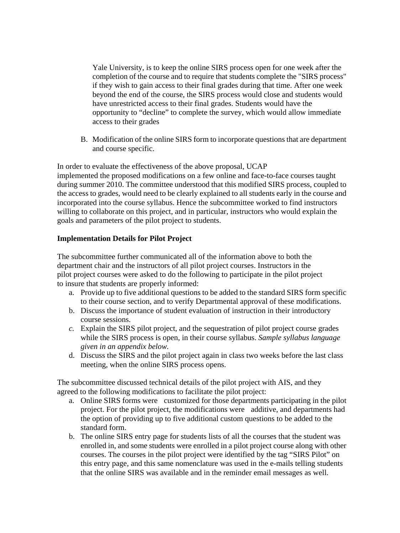Yale University, is to keep the online SIRS process open for one week after the completion of the course and to require that students complete the "SIRS process" if they wish to gain access to their final grades during that time. After one week beyond the end of the course, the SIRS process would close and students would have unrestricted access to their final grades. Students would have the opportunity to "decline" to complete the survey, which would allow immediat e access to their grades

. Modification of the online SIRS form to incorporate questions that are department B and course specific.

In order to evaluate the effectiveness of the above proposal, UCAP implemented the proposed modifications on a few online and face-to-face courses taught during summer 2010. The committee understood that this modified SIRS process, coupled to willing to collaborate on this project, and in particular, instructors who would explain the the access to grades, would need to be clearly explained to all students early in the course and incorporated into the course syllabus. Hence the subcommittee worked to find instructors goals and parameters of the pilot project to students.

### **mplementation Details for Pilot Project I**

The subcommittee further communicated all of the information above to both the pilot project courses were asked to do the following to participate in the pilot project department chair and the instructors of all pilot project courses. Instructors in the to insure that students are properly informed:

- a. Provide up to five additional questions to be added to the standard SIRS form specific to their course section, and to verify Departmental approval of these modifications.
- b. Discuss the importance of student evaluation of instruction in their introductory . course sessions
- $c$ . Explain the SIRS pilot project, and the sequestration of pilot project course grades while the SIRS process is open, in their course syllabus. Sample syllabus language *given in an appendix below.*
- meeting, when the online SIRS process opens. d. Discuss the SIRS and the pilot project again in class two weeks before the last class

The subcommittee discussed technical details of the pilot project with AIS, and they agreed to the following modifications to facilitate the pilot project:

- a. Online SIRS forms were customized for those departments participating in the pilot project. For the pilot project, the modifications were additive, and departments had the option of providing up to five additional custom questions to be added to the standard form.
- b. The online SIRS entry page for students lists of all the courses that the student was enrolled in, and some students were enrolled in a pilot project course along with other this entry page, and this same nomenclature was used in the e-mails telling students courses. The courses in the pilot project were identified by the tag "SIRS Pilot" on that the online SIRS was available and in the reminder email messages as well.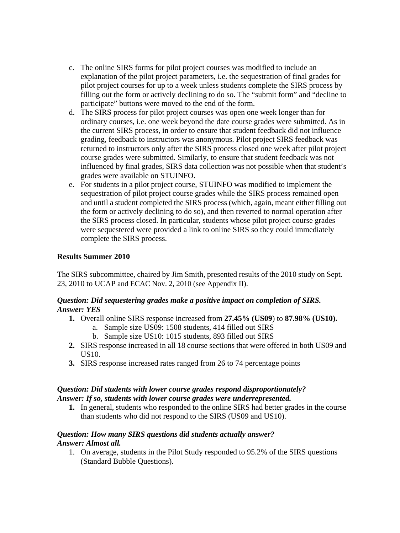- c. The online SIRS forms for pilot project courses was modified to include an explanation of the pilot project parameters, i.e. the sequestration of final grades for pilot project courses for up to a week unless students complete the SIRS process by filling out the form or actively declining to do so. The "submit form" and "decline to participate" buttons were moved to the end of the form.
- ordinary courses, i.e. one week beyond the date course grades were submitted. As in the current SIRS process, in order to ensure that student feedback did not influence returned to instructors only after the SIRS process closed one week after pilot project influenced by final grades, SIRS data collection was not possible when that student's d. The SIRS process for pilot project courses was open one week longer than for grading, feedback to instructors was anonymous. Pilot project SIRS feedback was course grades were submitted. Similarly, to ensure that student feedback was not grades were available on STUINFO.
- sequestration of pilot project course grades while the SIRS process remained open and until a student completed the SIRS process (which, again, meant either filling out e. For students in a pilot project course, STUINFO was modified to implement the the form or actively declining to do so), and then reverted to normal operation after the SIRS process closed. In particular, students whose pilot project course grades were sequestered were provided a link to online SIRS so they could immediately complete the SIRS process.

#### **Results Summer 2010**

The SIRS subcommittee, chaired by Jim Smith, presented results of the 2010 study on Sept. 23, 2010 to UCAP and ECAC Nov. 2, 2010 (see Appendix II).

#### Question: Did sequestering grades make a positive impact on completion of SIRS. *Answer: YES*

- **1.** Overall online SIRS response increased from 27.45% (US09) to 87.98% (US10).
	- a. Sample size US09: 1508 students, 414 filled out SIRS
	- b. Sample size US10: 1015 students, 893 filled out SIRS
- 2. SIRS response increased in all 18 course sections that were offered in both US09 and US10.
- **3.** SIRS response increased rates ranged from 26 to 74 percentage points

### *Question: Did students with lower course grades respond disproportionately? Answer: If so, students with lower course grades were underrepresented.*

1. In general, students who responded to the online SIRS had better grades in the course than students who did not respond to the SIRS (US09 and US10).

#### *nswer: Almost all. A Question: How many SIRS questions did students actually answer?*

1. On average, students in the Pilot Study responded to 95.2% of the SIRS questions (Standard Bubble Questions).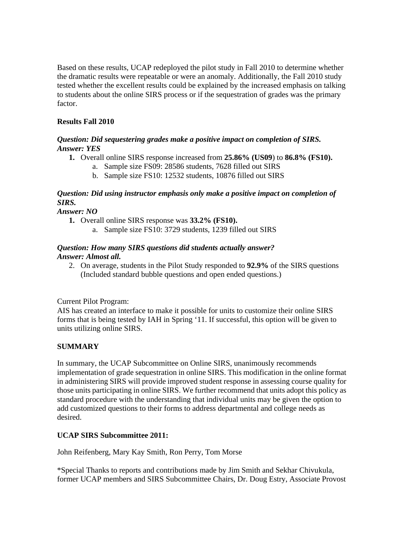Based on these results, UCAP redeployed the pilot study in Fall 2010 to determine whether the dramatic results were repeatable or were an anomaly. Additionally, the Fall 2010 study tested whether the excellent results could be explained by the increased emphasis on talking to students about the online SIRS process or if the sequestration of grades was the primary factor.

# **Fall 2010 Results**

#### *Question: Did sequestering grades make a positive impact on completion of SIRS. nswer: YES A*

- **0). 1.** Overall online SIRS response increased from **25.86% (US09**) to **86.8% (FS1**
	- a. Sample size FS09: 28586 students, 7628 filled out SIRS
	- b. Sample size FS10: 12532 students, 10876 filled out SIRS

# Question: Did using instructor emphasis only make a positive impact on completion of *IRS. S*

*Answer: NO* 

- 1. Overall online SIRS response was 33.2% (FS10).
	- a. Sample size FS10: 3729 students, 1239 filled out SIRS

# *Qu estion: How many SIRS questions did students actually answer? nswer: Almost all. A*

2. On average, students in the Pilot Study responded to 92.9% of the SIRS questions (Included standard bubble questions and open ended questions.)

Current Pilot Program:

AIS has created an interface to make it possible for units to customize their online SIRS forms that is being tested by IAH in Spring '11. If successful, this option will be given to units utilizing online SIRS.

# **SUMMARY**

In summary, the UCAP Subcommittee on Online SIRS, unanimously recommends implementation of grade sequestration in online SIRS. This modification in the online format in administering SIRS will provide improved student response in assessing course quality for those units participating in online SIRS. We further recommend that units adopt this policy as standard procedure with the understanding that individual units may be given the option to add customized questions to their forms to address departmental and college needs as desired.

#### **UCAP SIRS Subcommittee 2011:**

John Reifenberg, Mary Kay Smith, Ron Perry, Tom Morse

\*Special Thanks to reports and contributions made by Jim Smith and Sekhar Chivukula, former UCAP members and SIRS Subcommittee Chairs, Dr. Doug Estry, Associate Provost